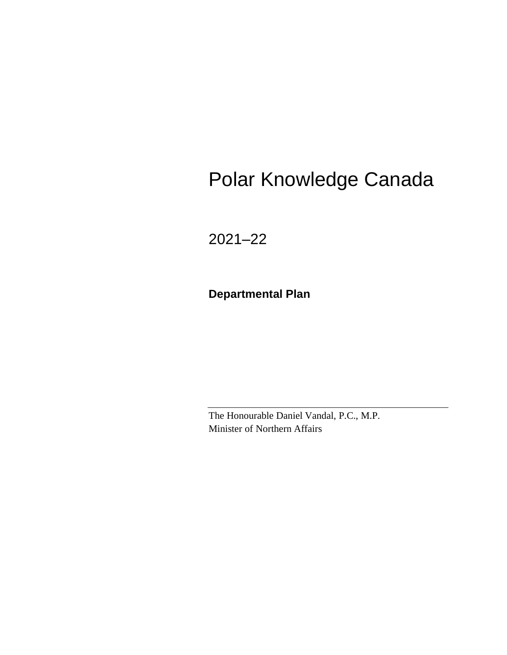# Polar Knowledge Canada

2021–22

**Departmental Plan**

The Honourable Daniel Vandal, P.C., M.P. Minister of Northern Affairs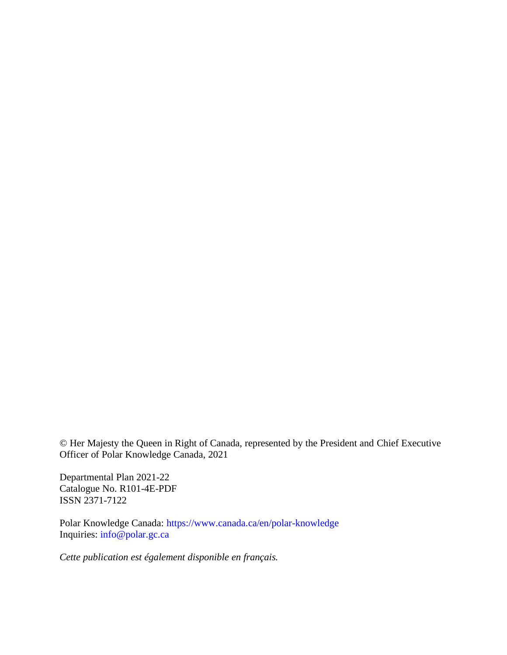© Her Majesty the Queen in Right of Canada, represented by the President and Chief Executive Officer of Polar Knowledge Canada, 2021

Departmental Plan 2021-22 Catalogue No. R101-4E-PDF ISSN 2371-7122

Polar Knowledge Canada:<https://www.canada.ca/en/polar-knowledge> Inquiries: [info@polar.gc.ca](mailto:info@polar.gc.ca)

*Cette publication est également disponible en français.*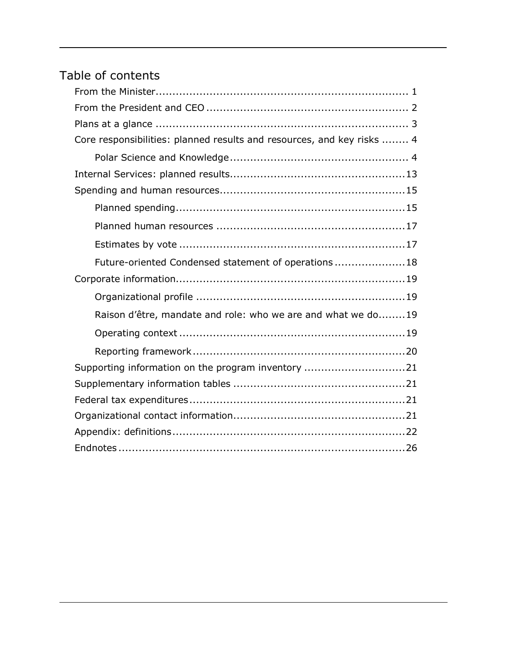# Table of contents

| Core responsibilities: planned results and resources, and key risks  4 |
|------------------------------------------------------------------------|
|                                                                        |
|                                                                        |
|                                                                        |
|                                                                        |
|                                                                        |
|                                                                        |
| Future-oriented Condensed statement of operations18                    |
|                                                                        |
|                                                                        |
| Raison d'être, mandate and role: who we are and what we do19           |
|                                                                        |
|                                                                        |
| Supporting information on the program inventory 21                     |
|                                                                        |
|                                                                        |
|                                                                        |
|                                                                        |
|                                                                        |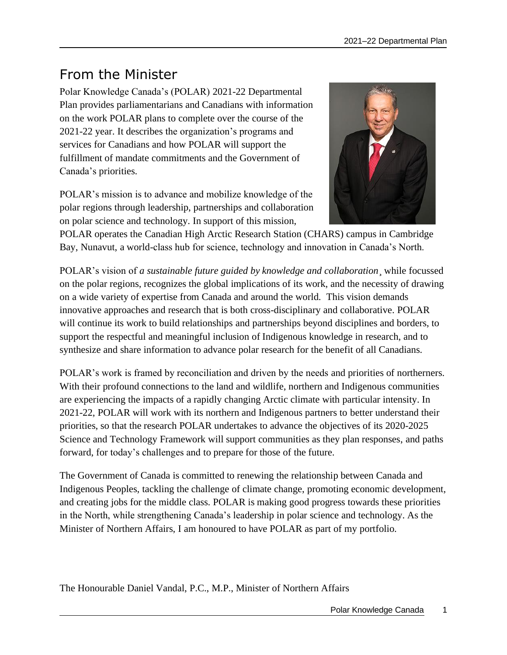# <span id="page-4-0"></span>From the Minister

Polar Knowledge Canada's (POLAR) 2021-22 Departmental Plan provides parliamentarians and Canadians with information on the work POLAR plans to complete over the course of the 2021-22 year. It describes the organization's programs and services for Canadians and how POLAR will support the fulfillment of mandate commitments and the Government of Canada's priorities.

POLAR's mission is to advance and mobilize knowledge of the polar regions through leadership, partnerships and collaboration on polar science and technology. In support of this mission,



POLAR operates the Canadian High Arctic Research Station (CHARS) campus in Cambridge Bay, Nunavut, a world-class hub for science, technology and innovation in Canada's North.

POLAR's vision of *a sustainable future guided by knowledge and collaboration*¸ while focussed on the polar regions, recognizes the global implications of its work, and the necessity of drawing on a wide variety of expertise from Canada and around the world. This vision demands innovative approaches and research that is both cross-disciplinary and collaborative. POLAR will continue its work to build relationships and partnerships beyond disciplines and borders, to support the respectful and meaningful inclusion of Indigenous knowledge in research, and to synthesize and share information to advance polar research for the benefit of all Canadians.

POLAR's work is framed by reconciliation and driven by the needs and priorities of northerners. With their profound connections to the land and wildlife, northern and Indigenous communities are experiencing the impacts of a rapidly changing Arctic climate with particular intensity. In 2021-22, POLAR will work with its northern and Indigenous partners to better understand their priorities, so that the research POLAR undertakes to advance the objectives of its 2020-2025 Science and Technology Framework will support communities as they plan responses, and paths forward, for today's challenges and to prepare for those of the future.

The Government of Canada is committed to renewing the relationship between Canada and Indigenous Peoples, tackling the challenge of climate change, promoting economic development, and creating jobs for the middle class. POLAR is making good progress towards these priorities in the North, while strengthening Canada's leadership in polar science and technology. As the Minister of Northern Affairs, I am honoured to have POLAR as part of my portfolio.

The Honourable Daniel Vandal, P.C., M.P., Minister of Northern Affairs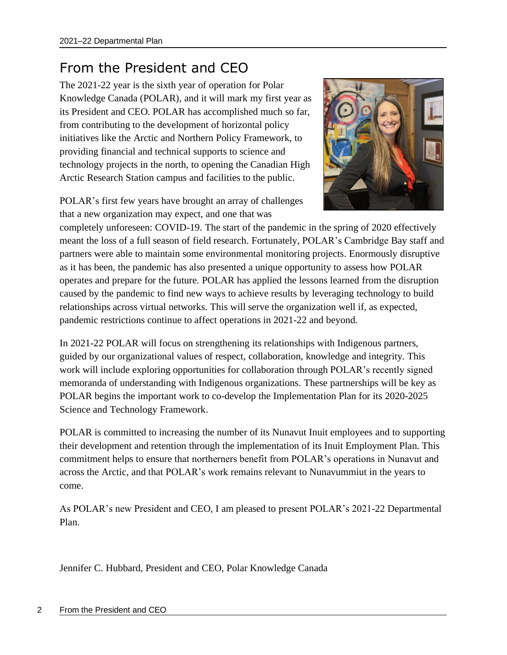# <span id="page-5-0"></span>From the President and CEO

The 2021-22 year is the sixth year of operation for Polar Knowledge Canada (POLAR), and it will mark my first year as its President and CEO. POLAR has accomplished much so far, from contributing to the development of horizontal policy initiatives like the Arctic and Northern Policy Framework, to providing financial and technical supports to science and technology projects in the north, to opening the Canadian High Arctic Research Station campus and facilities to the public.

POLAR's first few years have brought an array of challenges that a new organization may expect, and one that was



completely unforeseen: COVID-19. The start of the pandemic in the spring of 2020 effectively meant the loss of a full season of field research. Fortunately, POLAR's Cambridge Bay staff and partners were able to maintain some environmental monitoring projects. Enormously disruptive as it has been, the pandemic has also presented a unique opportunity to assess how POLAR operates and prepare for the future. POLAR has applied the lessons learned from the disruption caused by the pandemic to find new ways to achieve results by leveraging technology to build relationships across virtual networks. This will serve the organization well if, as expected, pandemic restrictions continue to affect operations in 2021-22 and beyond.

In 2021-22 POLAR will focus on strengthening its relationships with Indigenous partners, guided by our organizational values of respect, collaboration, knowledge and integrity. This work will include exploring opportunities for collaboration through POLAR's recently signed memoranda of understanding with Indigenous organizations. These partnerships will be key as POLAR begins the important work to co-develop the Implementation Plan for its 2020-2025 Science and Technology Framework.

POLAR is committed to increasing the number of its Nunavut Inuit employees and to supporting their development and retention through the implementation of its Inuit Employment Plan. This commitment helps to ensure that northerners benefit from POLAR's operations in Nunavut and across the Arctic, and that POLAR's work remains relevant to Nunavummiut in the years to come.

As POLAR's new President and CEO, I am pleased to present POLAR's 2021-22 Departmental Plan.

Jennifer C. Hubbard, President and CEO, Polar Knowledge Canada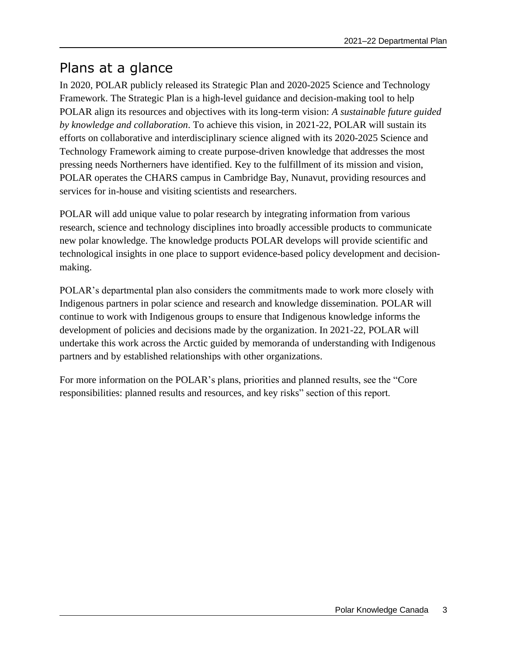# <span id="page-6-0"></span>Plans at a glance

In 2020, POLAR publicly released its Strategic Plan and 2020-2025 Science and Technology Framework. The Strategic Plan is a high-level guidance and decision-making tool to help POLAR align its resources and objectives with its long-term vision: *A sustainable future guided by knowledge and collaboration*. To achieve this vision, in 2021-22, POLAR will sustain its efforts on collaborative and interdisciplinary science aligned with its 2020-2025 Science and Technology Framework aiming to create purpose-driven knowledge that addresses the most pressing needs Northerners have identified. Key to the fulfillment of its mission and vision, POLAR operates the CHARS campus in Cambridge Bay, Nunavut, providing resources and services for in-house and visiting scientists and researchers.

POLAR will add unique value to polar research by integrating information from various research, science and technology disciplines into broadly accessible products to communicate new polar knowledge. The knowledge products POLAR develops will provide scientific and technological insights in one place to support evidence-based policy development and decisionmaking.

POLAR's departmental plan also considers the commitments made to work more closely with Indigenous partners in polar science and research and knowledge dissemination. POLAR will continue to work with Indigenous groups to ensure that Indigenous knowledge informs the development of policies and decisions made by the organization. In 2021-22, POLAR will undertake this work across the Arctic guided by memoranda of understanding with Indigenous partners and by established relationships with other organizations.

<span id="page-6-1"></span>For more information on the POLAR's plans, priorities and planned results, see the "Core responsibilities: planned results and resources, and key risks" section of this report.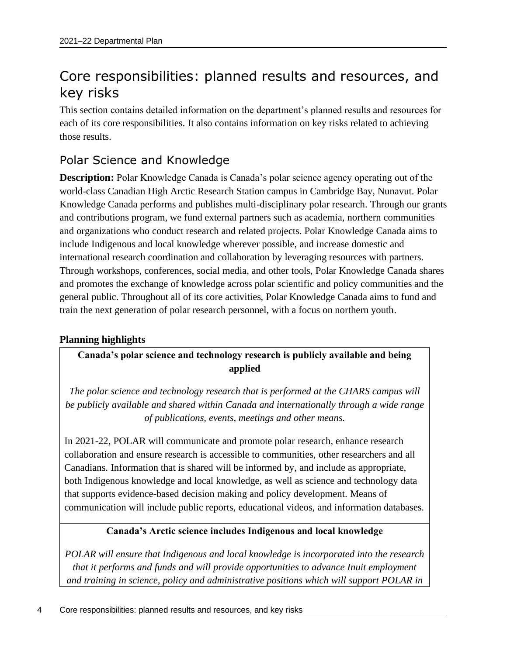# Core responsibilities: planned results and resources, and key risks

This section contains detailed information on the department's planned results and resources for each of its core responsibilities. It also contains information on key risks related to achieving those results.

## <span id="page-7-0"></span>Polar Science and Knowledge

**Description:** Polar Knowledge Canada is Canada's polar science agency operating out of the world-class Canadian High Arctic Research Station campus in Cambridge Bay, Nunavut. Polar Knowledge Canada performs and publishes multi-disciplinary polar research. Through our grants and contributions program, we fund external partners such as academia, northern communities and organizations who conduct research and related projects. Polar Knowledge Canada aims to include Indigenous and local knowledge wherever possible, and increase domestic and international research coordination and collaboration by leveraging resources with partners. Through workshops, conferences, social media, and other tools, Polar Knowledge Canada shares and promotes the exchange of knowledge across polar scientific and policy communities and the general public. Throughout all of its core activities, Polar Knowledge Canada aims to fund and train the next generation of polar research personnel, with a focus on northern youth.

### **Planning highlights**

**Canada's polar science and technology research is publicly available and being applied**

*The polar science and technology research that is performed at the CHARS campus will be publicly available and shared within Canada and internationally through a wide range of publications, events, meetings and other means.*

In 2021-22, POLAR will communicate and promote polar research, enhance research collaboration and ensure research is accessible to communities, other researchers and all Canadians. Information that is shared will be informed by, and include as appropriate, both Indigenous knowledge and local knowledge, as well as science and technology data that supports evidence-based decision making and policy development. Means of communication will include public reports, educational videos, and information databases.

### **Canada's Arctic science includes Indigenous and local knowledge**

*POLAR will ensure that Indigenous and local knowledge is incorporated into the research that it performs and funds and will provide opportunities to advance Inuit employment and training in science, policy and administrative positions which will support POLAR in*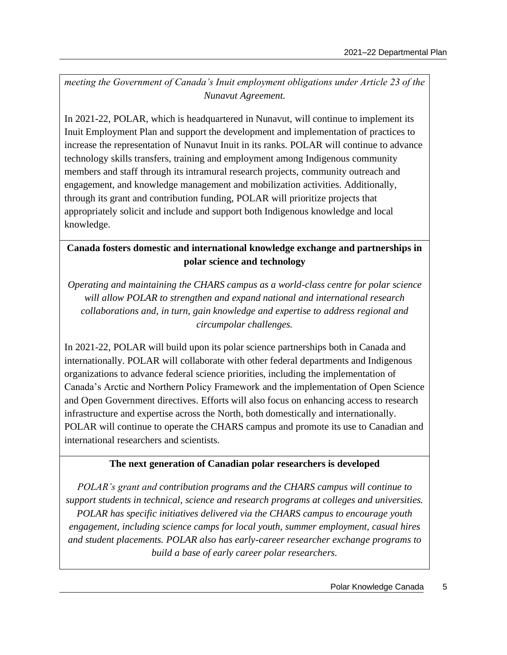*meeting the Government of Canada's Inuit employment obligations under Article 23 of the Nunavut Agreement.*

In 2021-22, POLAR, which is headquartered in Nunavut, will continue to implement its Inuit Employment Plan and support the development and implementation of practices to increase the representation of Nunavut Inuit in its ranks. POLAR will continue to advance technology skills transfers, training and employment among Indigenous community members and staff through its intramural research projects, community outreach and engagement, and knowledge management and mobilization activities. Additionally, through its grant and contribution funding, POLAR will prioritize projects that appropriately solicit and include and support both Indigenous knowledge and local knowledge.

### **Canada fosters domestic and international knowledge exchange and partnerships in polar science and technology**

*Operating and maintaining the CHARS campus as a world-class centre for polar science will allow POLAR to strengthen and expand national and international research collaborations and, in turn, gain knowledge and expertise to address regional and circumpolar challenges.*

In 2021-22, POLAR will build upon its polar science partnerships both in Canada and internationally. POLAR will collaborate with other federal departments and Indigenous organizations to advance federal science priorities, including the implementation of Canada's Arctic and Northern Policy Framework and the implementation of Open Science and Open Government directives. Efforts will also focus on enhancing access to research infrastructure and expertise across the North, both domestically and internationally. POLAR will continue to operate the CHARS campus and promote its use to Canadian and international researchers and scientists.

### **The next generation of Canadian polar researchers is developed**

*POLAR's grant and contribution programs and the CHARS campus will continue to support students in technical, science and research programs at colleges and universities. POLAR has specific initiatives delivered via the CHARS campus to encourage youth engagement, including science camps for local youth, summer employment, casual hires and student placements. POLAR also has early-career researcher exchange programs to build a base of early career polar researchers.*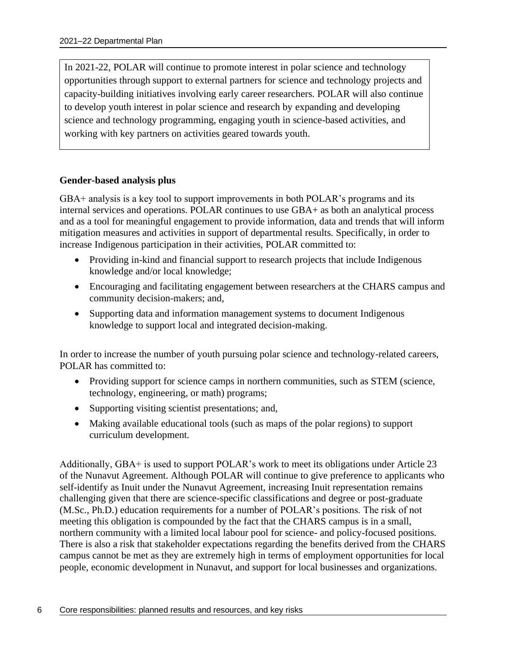In 2021-22, POLAR will continue to promote interest in polar science and technology opportunities through support to external partners for science and technology projects and capacity-building initiatives involving early career researchers. POLAR will also continue to develop youth interest in polar science and research by expanding and developing science and technology programming, engaging youth in science-based activities, and working with key partners on activities geared towards youth.

### **Gender-based analysis plus**

GBA+ analysis is a key tool to support improvements in both POLAR's programs and its internal services and operations. POLAR continues to use GBA+ as both an analytical process and as a tool for meaningful engagement to provide information, data and trends that will inform mitigation measures and activities in support of departmental results. Specifically, in order to increase Indigenous participation in their activities, POLAR committed to:

- Providing in-kind and financial support to research projects that include Indigenous knowledge and/or local knowledge;
- Encouraging and facilitating engagement between researchers at the CHARS campus and community decision-makers; and,
- Supporting data and information management systems to document Indigenous knowledge to support local and integrated decision-making.

In order to increase the number of youth pursuing polar science and technology-related careers, POLAR has committed to:

- Providing support for science camps in northern communities, such as STEM (science, technology, engineering, or math) programs;
- Supporting visiting scientist presentations; and,
- Making available educational tools (such as maps of the polar regions) to support curriculum development.

Additionally, GBA+ is used to support POLAR's work to meet its obligations under Article 23 of the Nunavut Agreement. Although POLAR will continue to give preference to applicants who self-identify as Inuit under the Nunavut Agreement, increasing Inuit representation remains challenging given that there are science-specific classifications and degree or post-graduate (M.Sc., Ph.D.) education requirements for a number of POLAR's positions. The risk of not meeting this obligation is compounded by the fact that the CHARS campus is in a small, northern community with a limited local labour pool for science- and policy-focused positions. There is also a risk that stakeholder expectations regarding the benefits derived from the CHARS campus cannot be met as they are extremely high in terms of employment opportunities for local people, economic development in Nunavut, and support for local businesses and organizations.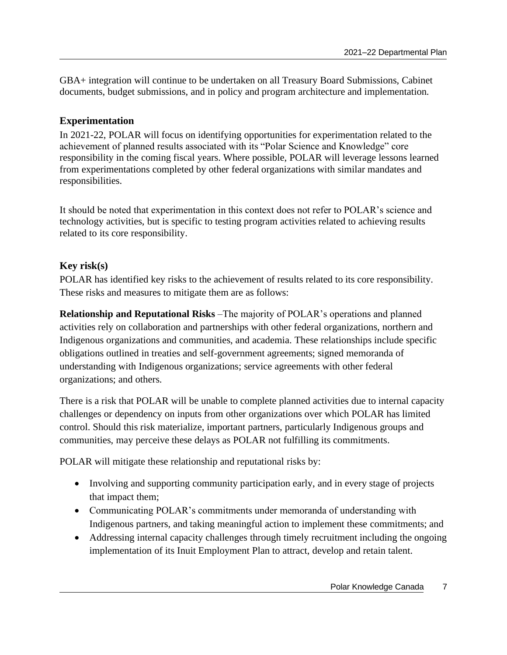GBA+ integration will continue to be undertaken on all Treasury Board Submissions, Cabinet documents, budget submissions, and in policy and program architecture and implementation.

### **Experimentation**

In 2021-22, POLAR will focus on identifying opportunities for experimentation related to the achievement of planned results associated with its "Polar Science and Knowledge" core responsibility in the coming fiscal years. Where possible, POLAR will leverage lessons learned from experimentations completed by other federal organizations with similar mandates and responsibilities.

It should be noted that experimentation in this context does not refer to POLAR's science and technology activities, but is specific to testing program activities related to achieving results related to its core responsibility.

### **Key risk(s)**

POLAR has identified key risks to the achievement of results related to its core responsibility. These risks and measures to mitigate them are as follows:

**Relationship and Reputational Risks** –The majority of POLAR's operations and planned activities rely on collaboration and partnerships with other federal organizations, northern and Indigenous organizations and communities, and academia. These relationships include specific obligations outlined in treaties and self-government agreements; signed memoranda of understanding with Indigenous organizations; service agreements with other federal organizations; and others.

There is a risk that POLAR will be unable to complete planned activities due to internal capacity challenges or dependency on inputs from other organizations over which POLAR has limited control. Should this risk materialize, important partners, particularly Indigenous groups and communities, may perceive these delays as POLAR not fulfilling its commitments.

POLAR will mitigate these relationship and reputational risks by:

- Involving and supporting community participation early, and in every stage of projects that impact them;
- Communicating POLAR's commitments under memoranda of understanding with Indigenous partners, and taking meaningful action to implement these commitments; and
- Addressing internal capacity challenges through timely recruitment including the ongoing implementation of its Inuit Employment Plan to attract, develop and retain talent.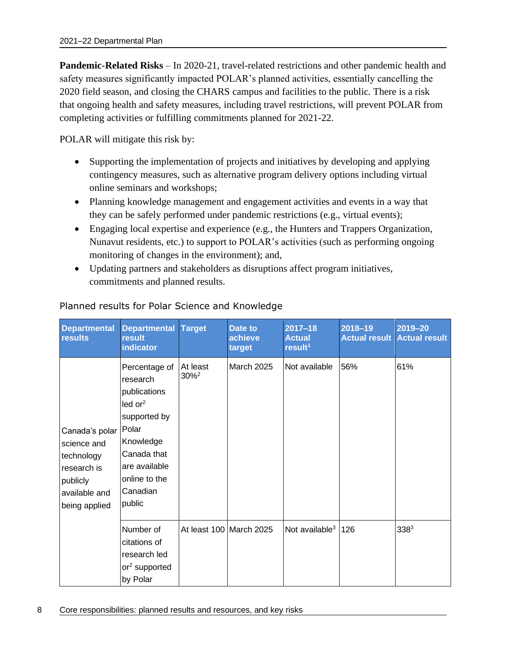**Pandemic-Related Risks** – In 2020-21, travel-related restrictions and other pandemic health and safety measures significantly impacted POLAR's planned activities, essentially cancelling the 2020 field season, and closing the CHARS campus and facilities to the public. There is a risk that ongoing health and safety measures, including travel restrictions, will prevent POLAR from completing activities or fulfilling commitments planned for 2021-22.

POLAR will mitigate this risk by:

- Supporting the implementation of projects and initiatives by developing and applying contingency measures, such as alternative program delivery options including virtual online seminars and workshops;
- Planning knowledge management and engagement activities and events in a way that they can be safely performed under pandemic restrictions (e.g., virtual events);
- Engaging local expertise and experience (e.g., the Hunters and Trappers Organization, Nunavut residents, etc.) to support to POLAR's activities (such as performing ongoing monitoring of changes in the environment); and,
- Updating partners and stakeholders as disruptions affect program initiatives, commitments and planned results.

| <b>Departmental</b><br>results                                                                           | Departmental Target<br>result<br>indicator                                                                                                                                   |                                 | Date to<br>achieve<br>target | $2017 - 18$<br><b>Actual</b><br>result <sup>1</sup> | 2018-19 | 2019-20<br><b>Actual result Actual result</b> |
|----------------------------------------------------------------------------------------------------------|------------------------------------------------------------------------------------------------------------------------------------------------------------------------------|---------------------------------|------------------------------|-----------------------------------------------------|---------|-----------------------------------------------|
| Canada's polar<br>science and<br>technology<br>research is<br>publicly<br>available and<br>being applied | Percentage of<br>research<br>publications<br>ledor <sup>2</sup><br>supported by<br>Polar<br>Knowledge<br>Canada that<br>are available<br>online to the<br>Canadian<br>public | At least<br>$30\%$ <sup>2</sup> | <b>March 2025</b>            | Not available                                       | 56%     | 61%                                           |
|                                                                                                          | Number of<br>citations of<br>research led<br>or <sup>2</sup> supported<br>by Polar                                                                                           |                                 | At least 100 March 2025      | Not available <sup>3</sup>                          | 126     | $338^{3}$                                     |

### Planned results for Polar Science and Knowledge

8 Core responsibilities: planned results and resources, and key risks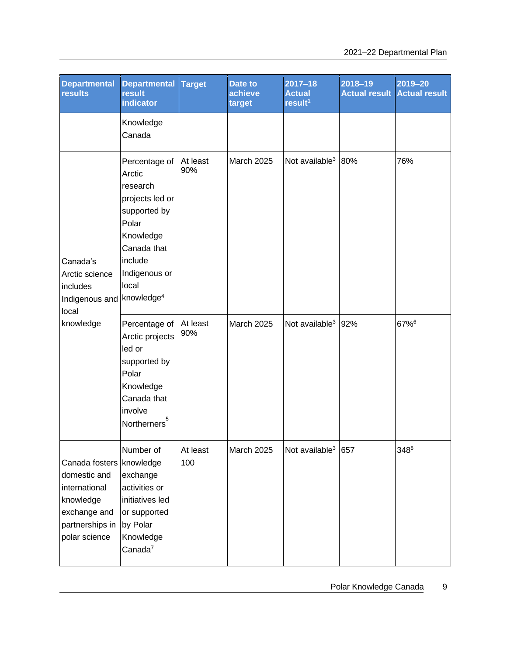| <b>Departmental</b><br><b>results</b>                                                                                        | <b>Departmental</b><br>result<br><b>indicator</b>                                                                                                | <b>Target</b>   | Date to<br>achieve<br>target | $2017 - 18$<br><b>Actual</b><br>result <sup>1</sup> | $2018 - 19$ | 2019-20<br><b>Actual result Actual result</b> |
|------------------------------------------------------------------------------------------------------------------------------|--------------------------------------------------------------------------------------------------------------------------------------------------|-----------------|------------------------------|-----------------------------------------------------|-------------|-----------------------------------------------|
|                                                                                                                              | Knowledge<br>Canada                                                                                                                              |                 |                              |                                                     |             |                                               |
| Canada's<br>Arctic science<br>includes<br>Indigenous and knowledge <sup>4</sup><br>local                                     | Percentage of<br>Arctic<br>research<br>projects led or<br>supported by<br>Polar<br>Knowledge<br>Canada that<br>include<br>Indigenous or<br>local | At least<br>90% | March 2025                   | Not available <sup>3</sup>                          | 80%         | 76%                                           |
| knowledge                                                                                                                    | Percentage of<br>Arctic projects<br>led or<br>supported by<br>Polar<br>Knowledge<br>Canada that<br>involve<br>Northerners <sup>5</sup>           | At least<br>90% | <b>March 2025</b>            | Not available <sup>3</sup>                          | 92%         | 67%6                                          |
| Canada fosters   knowledge<br>domestic and<br>international<br>knowledge<br>exchange and<br>partnerships in<br>polar science | Number of<br>exchange<br>activities or<br>initiatives led<br>or supported<br>by Polar<br>Knowledge<br>Canada <sup>7</sup>                        | At least<br>100 | March 2025                   | Not available <sup>3</sup> 657                      |             | 348 <sup>8</sup>                              |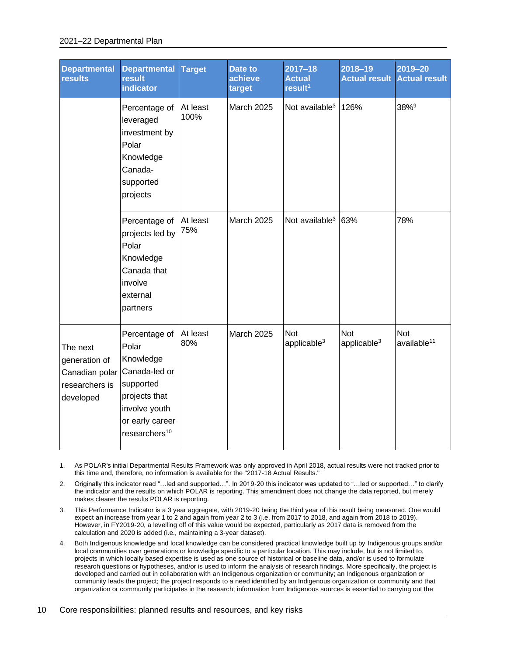#### 2021–22 Departmental Plan

| <b>Departmental</b><br><b>results</b>                                      | <b>Departmental</b><br><b>result</b><br><b>indicator</b>                                                                                            | <b>Target</b>    | Date to<br>achieve<br>target | $2017 - 18$<br><b>Actual</b><br>result <sup>1</sup> | $2018 - 19$<br><b>Actual result</b> | $2019 - 20$<br><b>Actual result</b>   |
|----------------------------------------------------------------------------|-----------------------------------------------------------------------------------------------------------------------------------------------------|------------------|------------------------------|-----------------------------------------------------|-------------------------------------|---------------------------------------|
|                                                                            | Percentage of<br>leveraged<br>investment by<br>Polar<br>Knowledge<br>Canada-<br>supported<br>projects                                               | At least<br>100% | <b>March 2025</b>            | Not available <sup>3</sup>                          | 126%                                | 38% <sup>9</sup>                      |
|                                                                            | Percentage of<br>projects led by<br>Polar<br>Knowledge<br>Canada that<br>involve<br>external<br>partners                                            | At least<br>75%  | <b>March 2025</b>            | Not available <sup>3</sup>                          | 63%                                 | 78%                                   |
| The next<br>generation of<br>Canadian polar<br>researchers is<br>developed | Percentage of<br>Polar<br>Knowledge<br>Canada-led or<br>supported<br>projects that<br>involve youth<br>or early career<br>researchers <sup>10</sup> | At least<br>80%  | <b>March 2025</b>            | <b>Not</b><br>applicable <sup>3</sup>               | <b>Not</b><br>applicable $3$        | <b>Not</b><br>available <sup>11</sup> |

1. As POLAR's initial Departmental Results Framework was only approved in April 2018, actual results were not tracked prior to this time and, therefore, no information is available for the "2017-18 Actual Results."

2. Originally this indicator read "…led and supported…". In 2019-20 this indicator was updated to "…led or supported…" to clarify the indicator and the results on which POLAR is reporting. This amendment does not change the data reported, but merely makes clearer the results POLAR is reporting.

3. This Performance Indicator is a 3 year aggregate, with 2019-20 being the third year of this result being measured. One would expect an increase from year 1 to 2 and again from year 2 to 3 (i.e. from 2017 to 2018, and again from 2018 to 2019). However, in FY2019-20, a levelling off of this value would be expected, particularly as 2017 data is removed from the calculation and 2020 is added (i.e., maintaining a 3-year dataset).

4. Both Indigenous knowledge and local knowledge can be considered practical knowledge built up by Indigenous groups and/or local communities over generations or knowledge specific to a particular location. This may include, but is not limited to, projects in which locally based expertise is used as one source of historical or baseline data, and/or is used to formulate research questions or hypotheses, and/or is used to inform the analysis of research findings. More specifically, the project is developed and carried out in collaboration with an Indigenous organization or community; an Indigenous organization or community leads the project; the project responds to a need identified by an Indigenous organization or community and that organization or community participates in the research; information from Indigenous sources is essential to carrying out the

#### 10 Core responsibilities: planned results and resources, and key risks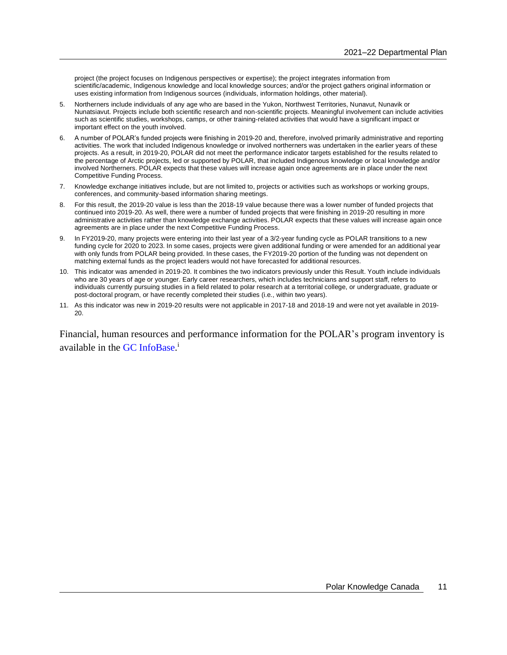project (the project focuses on Indigenous perspectives or expertise); the project integrates information from scientific/academic, Indigenous knowledge and local knowledge sources; and/or the project gathers original information or uses existing information from Indigenous sources (individuals, information holdings, other material).

- 5. Northerners include individuals of any age who are based in the Yukon, Northwest Territories, Nunavut, Nunavik or Nunatsiavut. Projects include both scientific research and non-scientific projects. Meaningful involvement can include activities such as scientific studies, workshops, camps, or other training-related activities that would have a significant impact or important effect on the youth involved.
- 6. A number of POLAR's funded projects were finishing in 2019-20 and, therefore, involved primarily administrative and reporting activities. The work that included Indigenous knowledge or involved northerners was undertaken in the earlier years of these projects. As a result, in 2019-20, POLAR did not meet the performance indicator targets established for the results related to the percentage of Arctic projects, led or supported by POLAR, that included Indigenous knowledge or local knowledge and/or involved Northerners. POLAR expects that these values will increase again once agreements are in place under the next Competitive Funding Process.
- 7. Knowledge exchange initiatives include, but are not limited to, projects or activities such as workshops or working groups, conferences, and community-based information sharing meetings.
- 8. For this result, the 2019-20 value is less than the 2018-19 value because there was a lower number of funded projects that continued into 2019-20. As well, there were a number of funded projects that were finishing in 2019-20 resulting in more administrative activities rather than knowledge exchange activities. POLAR expects that these values will increase again once agreements are in place under the next Competitive Funding Process.
- 9. In FY2019-20, many projects were entering into their last year of a 3/2-year funding cycle as POLAR transitions to a new funding cycle for 2020 to 2023. In some cases, projects were given additional funding or were amended for an additional year with only funds from POLAR being provided. In these cases, the FY2019-20 portion of the funding was not dependent on matching external funds as the project leaders would not have forecasted for additional resources.
- 10. This indicator was amended in 2019-20. It combines the two indicators previously under this Result. Youth include individuals who are 30 years of age or younger. Early career researchers, which includes technicians and support staff, refers to individuals currently pursuing studies in a field related to polar research at a territorial college, or undergraduate, graduate or post-doctoral program, or have recently completed their studies (i.e., within two years).
- 11. As this indicator was new in 2019-20 results were not applicable in 2017-18 and 2018-19 and were not yet available in 2019- 20.

Financial, human resources and performance information for the POLAR's program inventory is available in the [GC](https://www.tbs-sct.gc.ca/ems-sgd/edb-bdd/index-fra.html) InfoBas[e.](https://www.tbs-sct.gc.ca/ems-sgd/edb-bdd/index-eng.html)<sup>i</sup>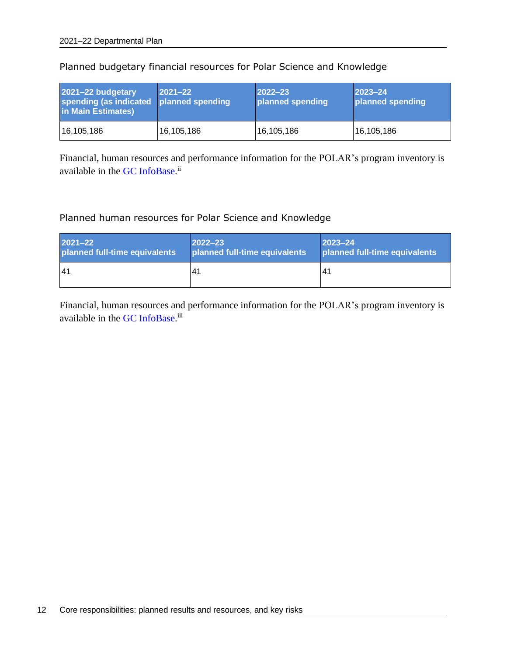| 2021-22 budgetary<br>spending (as indicated<br>in Main Estimates) | $ 2021 - 22 $<br>planned spending | $ 2022 - 23 $<br>planned spending | $2023 - 24$<br>planned spending |
|-------------------------------------------------------------------|-----------------------------------|-----------------------------------|---------------------------------|
| 16,105,186                                                        | 16,105,186                        | 16,105,186                        | 16,105,186                      |

### Planned budgetary financial resources for Polar Science and Knowledge

Financial, human resources and performance information for the POLAR's program inventory is available in the [GC](https://www.tbs-sct.gc.ca/ems-sgd/edb-bdd/index-fra.html) InfoBas[e.](https://www.tbs-sct.gc.ca/ems-sgd/edb-bdd/index-eng.html)<sup>ii</sup>

### Planned human resources for Polar Science and Knowledge

| $2021 - 22$                   | $2022 - 23$                   | $ 2023 - 24 $                 |
|-------------------------------|-------------------------------|-------------------------------|
| planned full-time equivalents | planned full-time equivalents | planned full-time equivalents |
| <b>41</b>                     | 41                            | 4′                            |

Financial, human resources and performance information for the POLAR's program inventory is available in the [GC](https://www.tbs-sct.gc.ca/ems-sgd/edb-bdd/index-fra.html) InfoBas[e.](https://www.tbs-sct.gc.ca/ems-sgd/edb-bdd/index-eng.html)<sup>iii</sup>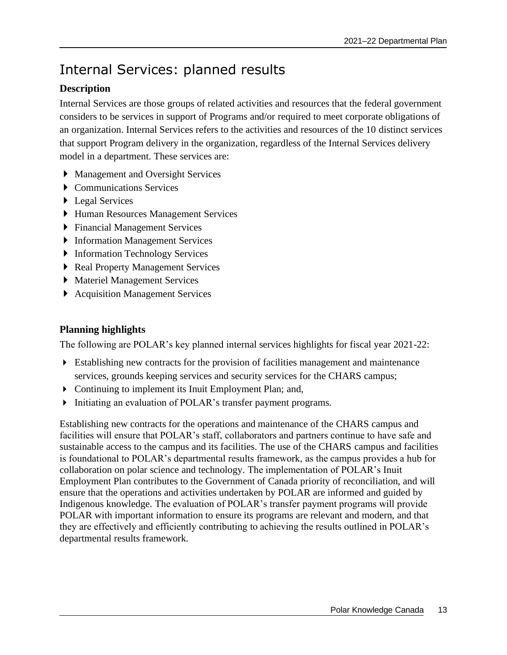# <span id="page-16-0"></span>Internal Services: planned results

### **Description**

Internal Services are those groups of related activities and resources that the federal government considers to be services in support of Programs and/or required to meet corporate obligations of an organization. Internal Services refers to the activities and resources of the 10 distinct services that support Program delivery in the organization, regardless of the Internal Services delivery model in a department. These services are:

- Management and Oversight Services
- ▶ Communications Services
- ▶ Legal Services
- Human Resources Management Services
- Financial Management Services
- **Information Management Services**
- ▶ Information Technology Services
- ▶ Real Property Management Services
- Materiel Management Services
- ▶ Acquisition Management Services

### **Planning highlights**

The following are POLAR's key planned internal services highlights for fiscal year 2021-22:

- Establishing new contracts for the provision of facilities management and maintenance services, grounds keeping services and security services for the CHARS campus;
- Continuing to implement its Inuit Employment Plan; and,
- Initiating an evaluation of POLAR's transfer payment programs.

Establishing new contracts for the operations and maintenance of the CHARS campus and facilities will ensure that POLAR's staff, collaborators and partners continue to have safe and sustainable access to the campus and its facilities. The use of the CHARS campus and facilities is foundational to POLAR's departmental results framework, as the campus provides a hub for collaboration on polar science and technology. The implementation of POLAR's Inuit Employment Plan contributes to the Government of Canada priority of reconciliation, and will ensure that the operations and activities undertaken by POLAR are informed and guided by Indigenous knowledge. The evaluation of POLAR's transfer payment programs will provide POLAR with important information to ensure its programs are relevant and modern, and that they are effectively and efficiently contributing to achieving the results outlined in POLAR's departmental results framework.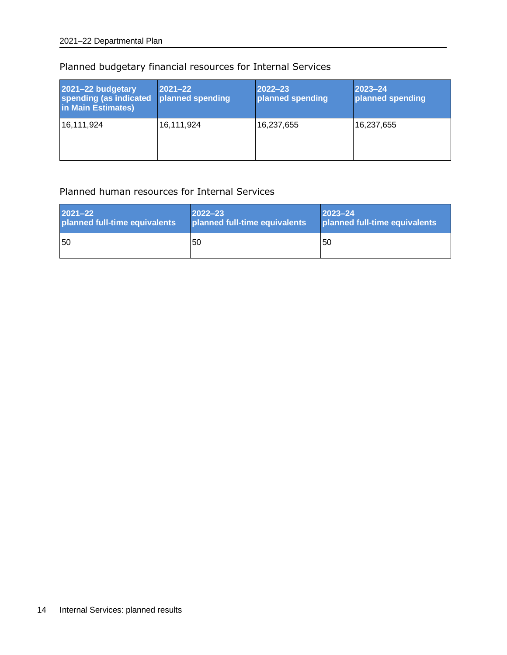| 2021-22 budgetary<br>spending (as indicated<br>in Main Estimates) | 2021-22<br>planned spending | $2022 - 23$<br>planned spending | 2023-24<br>planned spending |
|-------------------------------------------------------------------|-----------------------------|---------------------------------|-----------------------------|
| 16,111,924                                                        | 16,111,924                  | 16,237,655                      | 16,237,655                  |

### Planned budgetary financial resources for Internal Services

### Planned human resources for Internal Services

| $2021 - 22$                   | $2022 - 23$                   | $2023 - 24$                   |
|-------------------------------|-------------------------------|-------------------------------|
| planned full-time equivalents | planned full-time equivalents | planned full-time equivalents |
| 50                            | 150                           | l50                           |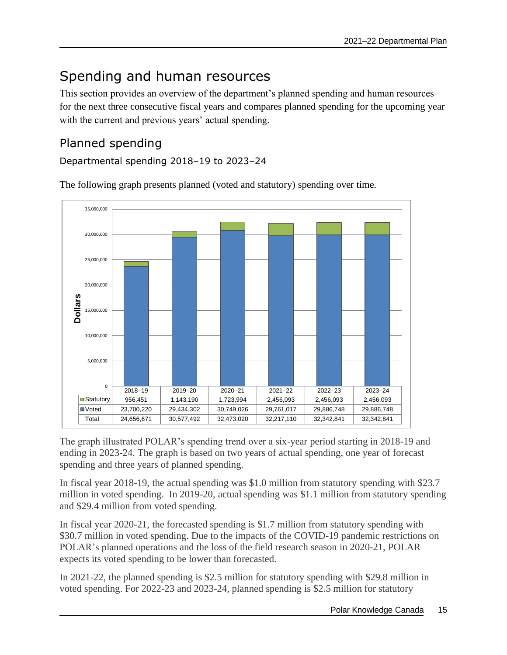# <span id="page-18-0"></span>Spending and human resources

This section provides an overview of the department's planned spending and human resources for the next three consecutive fiscal years and compares planned spending for the upcoming year with the current and previous years' actual spending.

## <span id="page-18-1"></span>Planned spending

Departmental spending 2018–19 to 2023–24



The following graph presents planned (voted and statutory) spending over time.

The graph illustrated POLAR's spending trend over a six-year period starting in 2018-19 and ending in 2023-24. The graph is based on two years of actual spending, one year of forecast spending and three years of planned spending.

In fiscal year 2018-19, the actual spending was \$1.0 million from statutory spending with \$23.7 million in voted spending. In 2019-20, actual spending was \$1.1 million from statutory spending and \$29.4 million from voted spending.

In fiscal year 2020-21, the forecasted spending is \$1.7 million from statutory spending with \$30.7 million in voted spending. Due to the impacts of the COVID-19 pandemic restrictions on POLAR's planned operations and the loss of the field research season in 2020-21, POLAR expects its voted spending to be lower than forecasted.

In 2021-22, the planned spending is \$2.5 million for statutory spending with \$29.8 million in voted spending. For 2022-23 and 2023-24, planned spending is \$2.5 million for statutory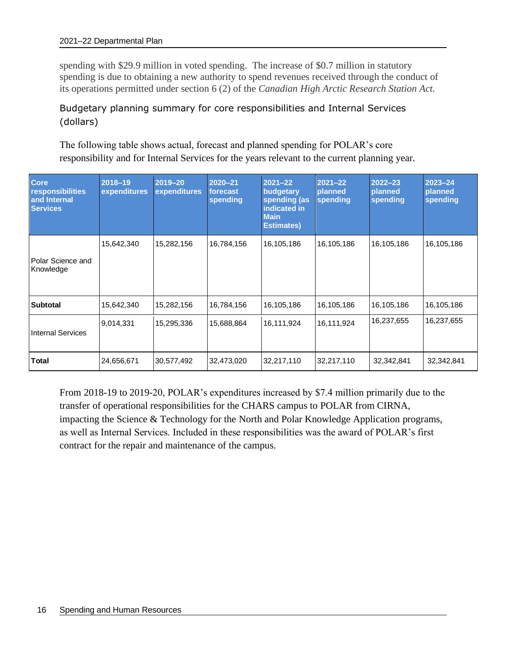spending with \$29.9 million in voted spending. The increase of \$0.7 million in statutory spending is due to obtaining a new authority to spend revenues received through the conduct of its operations permitted under section 6 (2) of the *Canadian High Arctic Research Station Act.*

### Budgetary planning summary for core responsibilities and Internal Services (dollars)

The following table shows actual, forecast and planned spending for POLAR's core responsibility and for Internal Services for the years relevant to the current planning year.

| <b>Core</b><br><b>responsibilities</b><br>and Internal<br><b>Services</b> | 2018-19<br>expenditures | 2019-20<br>expenditures | 2020-21<br>forecast<br>spending | $2021 - 22$<br>budgetary<br>spending (as<br>indicated in<br><b>Main</b><br><b>Estimates)</b> | $2021 - 22$<br>planned<br>spending | $2022 - 23$<br>planned<br>spending | $2023 - 24$<br>planned<br>spending |
|---------------------------------------------------------------------------|-------------------------|-------------------------|---------------------------------|----------------------------------------------------------------------------------------------|------------------------------------|------------------------------------|------------------------------------|
| Polar Science and<br>Knowledge                                            | 15,642,340              | 15,282,156              | 16,784,156                      | 16,105,186                                                                                   | 16,105,186                         | 16,105,186                         | 16,105,186                         |
| <b>Subtotal</b>                                                           | 15,642,340              | 15,282,156              | 16,784,156                      | 16,105,186                                                                                   | 16,105,186                         | 16,105,186                         | 16,105,186                         |
| <b>Internal Services</b>                                                  | 9,014,331               | 15,295,336              | 15,688,864                      | 16,111,924                                                                                   | 16,111,924                         | 16,237,655                         | 16,237,655                         |
| <b>Total</b>                                                              | 24,656,671              | 30,577,492              | 32,473,020                      | 32,217,110                                                                                   | 32,217,110                         | 32,342,841                         | 32,342,841                         |

From 2018-19 to 2019-20, POLAR's expenditures increased by \$7.4 million primarily due to the transfer of operational responsibilities for the CHARS campus to POLAR from CIRNA, impacting the Science & Technology for the North and Polar Knowledge Application programs, as well as Internal Services. Included in these responsibilities was the award of POLAR's first contract for the repair and maintenance of the campus.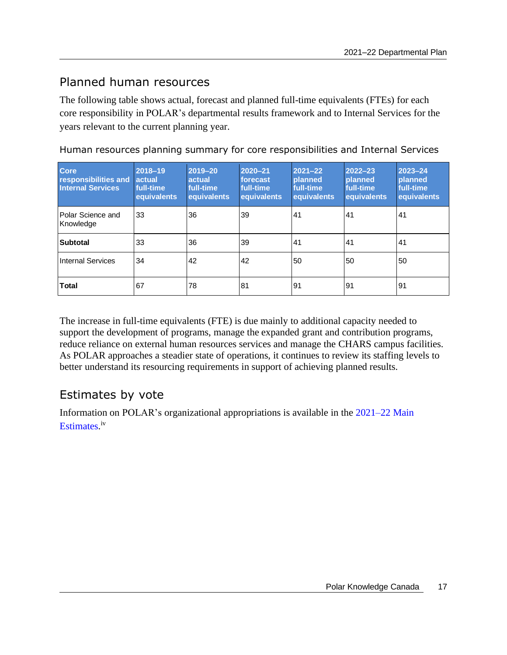### <span id="page-20-0"></span>Planned human resources

The following table shows actual, forecast and planned full-time equivalents (FTEs) for each core responsibility in POLAR's departmental results framework and to Internal Services for the years relevant to the current planning year.

| <b>Core</b><br>responsibilities and<br><b>Internal Services</b> | 2018-19<br>actual<br>full-time<br>equivalents | 2019-20<br>actual<br>full-time<br>equivalents | 2020-21<br>forecast<br>full-time<br>equivalents | $2021 - 22$<br><b>planned</b><br>full-time<br>equivalents | $2022 - 23$<br><b>planned</b><br>full-time<br>equivalents | $2023 - 24$<br><b>planned</b><br>full-time<br>equivalents |
|-----------------------------------------------------------------|-----------------------------------------------|-----------------------------------------------|-------------------------------------------------|-----------------------------------------------------------|-----------------------------------------------------------|-----------------------------------------------------------|
| Polar Science and<br>Knowledge                                  | 33                                            | 36                                            | 39                                              | 41                                                        | 41                                                        | 41                                                        |
| <b>Subtotal</b>                                                 | 33                                            | 36                                            | 39                                              | 41                                                        | 41                                                        | 41                                                        |
| <b>Internal Services</b>                                        | 34                                            | 42                                            | 42                                              | 50                                                        | 50                                                        | 50                                                        |
| <b>Total</b>                                                    | 67                                            | 78                                            | 81                                              | 91                                                        | 91                                                        | 91                                                        |

Human resources planning summary for core responsibilities and Internal Services

The increase in full-time equivalents (FTE) is due mainly to additional capacity needed to support the development of programs, manage the expanded grant and contribution programs, reduce reliance on external human resources services and manage the CHARS campus facilities. As POLAR approaches a steadier state of operations, it continues to review its staffing levels to better understand its resourcing requirements in support of achieving planned results.

## <span id="page-20-1"></span>Estimates by vote

Information on POLAR's organizational appropriations is available in the [2021–22 Main](http://www.tbs-sct.gc.ca/hgw-cgf/finances/pgs-pdg/gepme-pdgbpd/index-eng.asp)  [Estimates](http://www.tbs-sct.gc.ca/hgw-cgf/finances/pgs-pdg/gepme-pdgbpd/index-eng.asp)[.](http://www.tpsgc-pwgsc.gc.ca/recgen/cpc-pac/index-eng.html)<sup>iv</sup>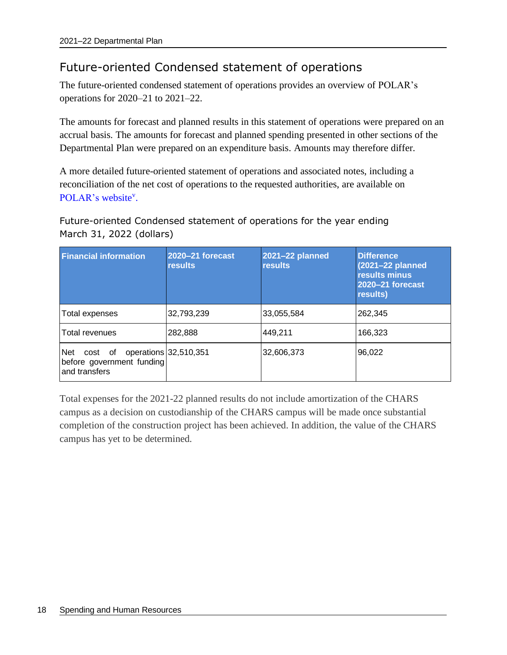## <span id="page-21-0"></span>Future-oriented Condensed statement of operations

The future-oriented condensed statement of operations provides an overview of POLAR's operations for 2020–21 to 2021–22.

The amounts for forecast and planned results in this statement of operations were prepared on an accrual basis. The amounts for forecast and planned spending presented in other sections of the Departmental Plan were prepared on an expenditure basis. Amounts may therefore differ.

A more detailed future-oriented statement of operations and associated notes, including a reconciliation of the net cost of operations to the requested authorities, are available on [POLAR's](https://www.canada.ca/en/polar-knowledge.html) website<sup>v</sup>.

Future-oriented Condensed statement of operations for the year ending March 31, 2022 (dollars)

| <b>Financial information</b>                                        | 2020-21 forecast<br><b>results</b> | 2021-22 planned<br><b>results</b> | <b>Difference</b><br>(2021-22 planned)<br>results minus<br>2020-21 forecast<br>results) |
|---------------------------------------------------------------------|------------------------------------|-----------------------------------|-----------------------------------------------------------------------------------------|
| Total expenses                                                      | 32,793,239                         | 33,055,584                        | 262,345                                                                                 |
| Total revenues                                                      | 282,888                            | 449,211                           | 166,323                                                                                 |
| <b>Net</b><br>cost of<br>before government funding<br>and transfers | operations 32,510,351              | 32,606,373                        | 96,022                                                                                  |

Total expenses for the 2021-22 planned results do not include amortization of the CHARS campus as a decision on custodianship of the CHARS campus will be made once substantial completion of the construction project has been achieved. In addition, the value of the CHARS campus has yet to be determined.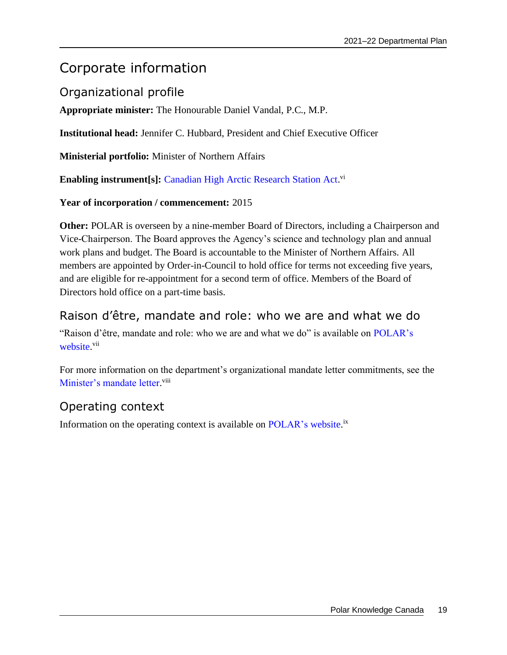# <span id="page-22-0"></span>Corporate information

## <span id="page-22-1"></span>Organizational profile

**Appropriate minister:** The Honourable Daniel Vandal, P.C., M.P.

**Institutional head:** Jennifer C. Hubbard, President and Chief Executive Officer

**Ministerial portfolio:** Minister of Northern Affairs

**Enabling instrument[s]:** [Canadian High Arctic Research Station Act.](https://laws-lois.justice.gc.ca/eng/acts/C-17.8/page-1.html) vi

### **Year of incorporation / commencement:** 2015

**Other:** POLAR is overseen by a nine-member Board of Directors, including a Chairperson and Vice-Chairperson. The Board approves the Agency's science and technology plan and annual work plans and budget. The Board is accountable to the Minister of Northern Affairs. All members are appointed by Order-in-Council to hold office for terms not exceeding five years, and are eligible for re-appointment for a second term of office. Members of the Board of Directors hold office on a part-time basis.

### <span id="page-22-2"></span>Raison d'être, mandate and role: who we are and what we do

"Raison d'être, mandate and role: who we are and what we do" is available on [POLAR's](https://www.canada.ca/en/polar-knowledge.html) [website.](https://www.canada.ca/en/polar-knowledge.html)<sup>vii</sup>

For more information on the department's organizational mandate letter commitments, see the [Minister's mandate letter.](https://pm.gc.ca/en/mandate-letters/2019/12/13/minister-northern-affairs-mandate-letter)<sup>viii</sup>

## <span id="page-22-3"></span>Operating context

Information on the operating context is available on [POLAR's](https://www.canada.ca/en/polar-knowledge/behindthescenes/organizational-structure.html) website.<sup>ix</sup>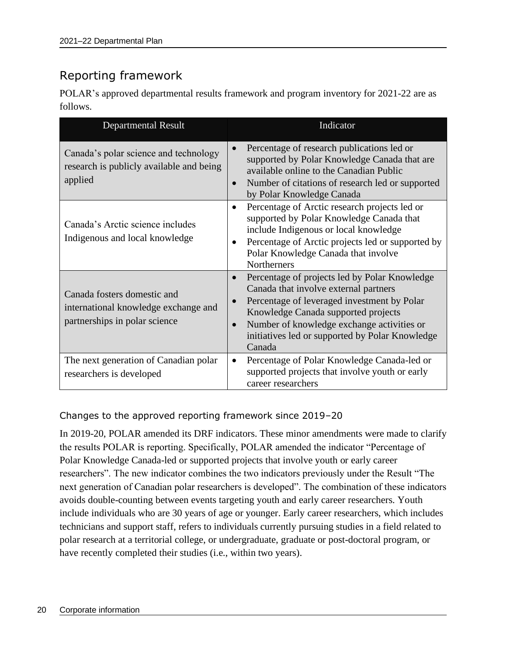# <span id="page-23-0"></span>Reporting framework

POLAR's approved departmental results framework and program inventory for 2021-22 are as follows.

| <b>Departmental Result</b>                                                                           | Indicator                                                                                                                                                                                                                                                                                            |
|------------------------------------------------------------------------------------------------------|------------------------------------------------------------------------------------------------------------------------------------------------------------------------------------------------------------------------------------------------------------------------------------------------------|
| Canada's polar science and technology<br>research is publicly available and being<br>applied         | Percentage of research publications led or<br>supported by Polar Knowledge Canada that are<br>available online to the Canadian Public<br>Number of citations of research led or supported<br>by Polar Knowledge Canada                                                                               |
| Canada's Arctic science includes<br>Indigenous and local knowledge                                   | Percentage of Arctic research projects led or<br>$\bullet$<br>supported by Polar Knowledge Canada that<br>include Indigenous or local knowledge<br>Percentage of Arctic projects led or supported by<br>Polar Knowledge Canada that involve<br><b>Northerners</b>                                    |
| Canada fosters domestic and<br>international knowledge exchange and<br>partnerships in polar science | Percentage of projects led by Polar Knowledge<br>$\bullet$<br>Canada that involve external partners<br>Percentage of leveraged investment by Polar<br>Knowledge Canada supported projects<br>Number of knowledge exchange activities or<br>initiatives led or supported by Polar Knowledge<br>Canada |
| The next generation of Canadian polar<br>researchers is developed                                    | Percentage of Polar Knowledge Canada-led or<br>$\bullet$<br>supported projects that involve youth or early<br>career researchers                                                                                                                                                                     |

Changes to the approved reporting framework since 2019–20

In 2019-20, POLAR amended its DRF indicators. These minor amendments were made to clarify the results POLAR is reporting. Specifically, POLAR amended the indicator "Percentage of Polar Knowledge Canada-led or supported projects that involve youth or early career researchers". The new indicator combines the two indicators previously under the Result "The next generation of Canadian polar researchers is developed". The combination of these indicators avoids double-counting between events targeting youth and early career researchers. Youth include individuals who are 30 years of age or younger. Early career researchers, which includes technicians and support staff, refers to individuals currently pursuing studies in a field related to polar research at a territorial college, or undergraduate, graduate or post-doctoral program, or have recently completed their studies (i.e., within two years).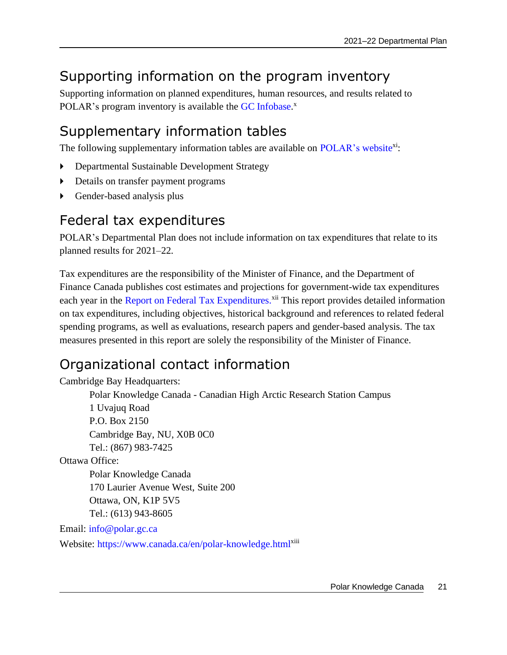# <span id="page-24-0"></span>Supporting information on the program inventory

Supporting information on planned expenditures, human resources, and results related to POLAR's program inventory is available the GC Infobase.<sup>x</sup>

# <span id="page-24-1"></span>Supplementary information tables

The following supplementary information tables are available on [POLAR's website](https://www.canada.ca/en/polar-knowledge/reports/departmental-plan-2021-2022.html)<sup>xi</sup>:

- Departmental Sustainable Development Strategy
- Details on transfer payment programs
- Gender-based analysis plus

# <span id="page-24-2"></span>Federal tax expenditures

POLAR's Departmental Plan does not include information on tax expenditures that relate to its planned results for 2021–22.

Tax expenditures are the responsibility of the Minister of Finance, and the Department of Finance Canada publishes cost estimates and projections for government-wide tax expenditures each year in the [Report on Federal Tax Expenditures.](https://www.canada.ca/en/department-finance/services/publications/federal-tax-expenditures.html)<sup>xii</sup> This report provides detailed information on tax expenditures, including objectives, historical background and references to related federal spending programs, as well as evaluations, research papers and gender-based analysis. The tax measures presented in this report are solely the responsibility of the Minister of Finance.

# <span id="page-24-3"></span>Organizational contact information

Cambridge Bay Headquarters:

Polar Knowledge Canada - Canadian High Arctic Research Station Campus 1 Uvajuq Road P.O. Box 2150 Cambridge Bay, NU, X0B 0C0 Tel.: (867) 983-7425 Ottawa Office:

Polar Knowledge Canada 170 Laurier Avenue West, Suite 200 Ottawa, ON, K1P 5V5 Tel.: (613) 943-8605

Email: [info@polar.gc.ca](mailto:info@polar.gc.ca)

Website: <https://www.canada.ca/en/polar-knowledge.html><sup>x[i](https://www.canada.ca/en/polar-knowledge.html)ii</sup>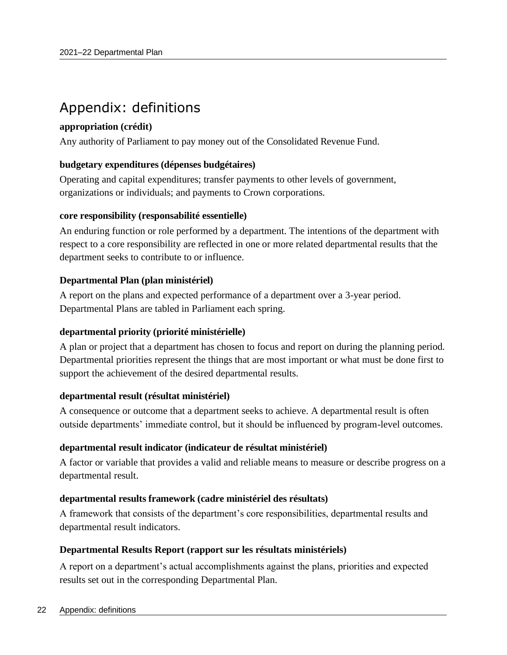# <span id="page-25-0"></span>Appendix: definitions

### **appropriation (crédit)**

Any authority of Parliament to pay money out of the Consolidated Revenue Fund.

### **budgetary expenditures (dépenses budgétaires)**

Operating and capital expenditures; transfer payments to other levels of government, organizations or individuals; and payments to Crown corporations.

### **core responsibility (responsabilité essentielle)**

An enduring function or role performed by a department. The intentions of the department with respect to a core responsibility are reflected in one or more related departmental results that the department seeks to contribute to or influence.

### **Departmental Plan (plan ministériel)**

A report on the plans and expected performance of a department over a 3-year period. Departmental Plans are tabled in Parliament each spring.

### **departmental priority (priorité ministérielle)**

A plan or project that a department has chosen to focus and report on during the planning period. Departmental priorities represent the things that are most important or what must be done first to support the achievement of the desired departmental results.

### **departmental result (résultat ministériel)**

A consequence or outcome that a department seeks to achieve. A departmental result is often outside departments' immediate control, but it should be influenced by program-level outcomes.

### **departmental result indicator (indicateur de résultat ministériel)**

A factor or variable that provides a valid and reliable means to measure or describe progress on a departmental result.

### **departmental results framework (cadre ministériel des résultats)**

A framework that consists of the department's core responsibilities, departmental results and departmental result indicators.

### **Departmental Results Report (rapport sur les résultats ministériels)**

A report on a department's actual accomplishments against the plans, priorities and expected results set out in the corresponding Departmental Plan.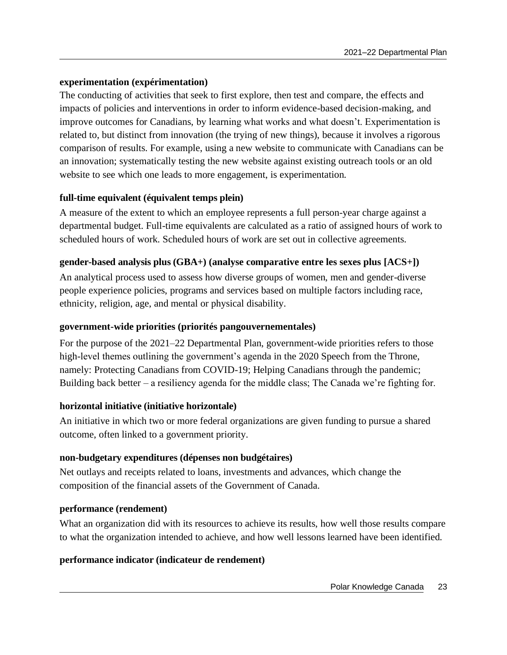### **experimentation (expérimentation)**

The conducting of activities that seek to first explore, then test and compare, the effects and impacts of policies and interventions in order to inform evidence-based decision-making, and improve outcomes for Canadians, by learning what works and what doesn't. Experimentation is related to, but distinct from innovation (the trying of new things), because it involves a rigorous comparison of results. For example, using a new website to communicate with Canadians can be an innovation; systematically testing the new website against existing outreach tools or an old website to see which one leads to more engagement, is experimentation.

### **full-time equivalent (équivalent temps plein)**

A measure of the extent to which an employee represents a full person-year charge against a departmental budget. Full-time equivalents are calculated as a ratio of assigned hours of work to scheduled hours of work. Scheduled hours of work are set out in collective agreements.

### **gender-based analysis plus (GBA+) (analyse comparative entre les sexes plus [ACS+])**

An analytical process used to assess how diverse groups of women, men and gender-diverse people experience policies, programs and services based on multiple factors including race, ethnicity, religion, age, and mental or physical disability.

### **government-wide priorities (priorités pangouvernementales)**

For the purpose of the 2021–22 Departmental Plan, government-wide priorities refers to those high-level themes outlining the government's agenda in the 2020 Speech from the Throne, namely: Protecting Canadians from COVID-19; Helping Canadians through the pandemic; Building back better – a resiliency agenda for the middle class; The Canada we're fighting for.

### **horizontal initiative (initiative horizontale)**

An initiative in which two or more federal organizations are given funding to pursue a shared outcome, often linked to a government priority.

### **non-budgetary expenditures (dépenses non budgétaires)**

Net outlays and receipts related to loans, investments and advances, which change the composition of the financial assets of the Government of Canada.

### **performance (rendement)**

What an organization did with its resources to achieve its results, how well those results compare to what the organization intended to achieve, and how well lessons learned have been identified.

### **performance indicator (indicateur de rendement)**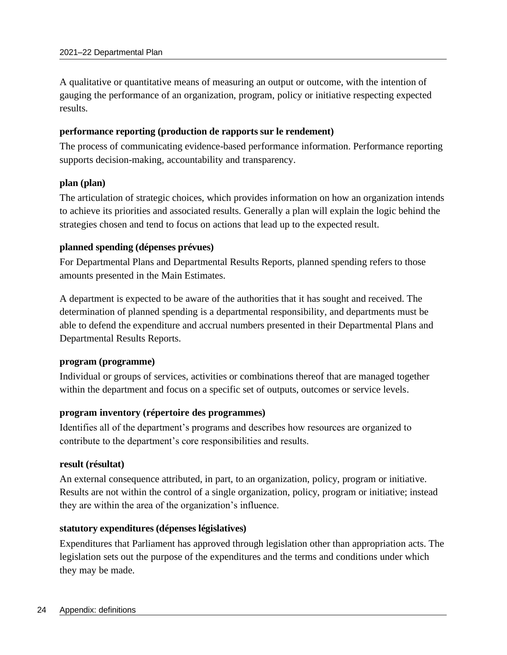A qualitative or quantitative means of measuring an output or outcome, with the intention of gauging the performance of an organization, program, policy or initiative respecting expected results.

### **performance reporting (production de rapports sur le rendement)**

The process of communicating evidence-based performance information. Performance reporting supports decision-making, accountability and transparency.

### **plan (plan)**

The articulation of strategic choices, which provides information on how an organization intends to achieve its priorities and associated results. Generally a plan will explain the logic behind the strategies chosen and tend to focus on actions that lead up to the expected result.

### **planned spending (dépenses prévues)**

For Departmental Plans and Departmental Results Reports, planned spending refers to those amounts presented in the Main Estimates.

A department is expected to be aware of the authorities that it has sought and received. The determination of planned spending is a departmental responsibility, and departments must be able to defend the expenditure and accrual numbers presented in their Departmental Plans and Departmental Results Reports.

### **program (programme)**

Individual or groups of services, activities or combinations thereof that are managed together within the department and focus on a specific set of outputs, outcomes or service levels.

### **program inventory (répertoire des programmes)**

Identifies all of the department's programs and describes how resources are organized to contribute to the department's core responsibilities and results.

### **result (résultat)**

An external consequence attributed, in part, to an organization, policy, program or initiative. Results are not within the control of a single organization, policy, program or initiative; instead they are within the area of the organization's influence.

### **statutory expenditures (dépenses législatives)**

Expenditures that Parliament has approved through legislation other than appropriation acts. The legislation sets out the purpose of the expenditures and the terms and conditions under which they may be made.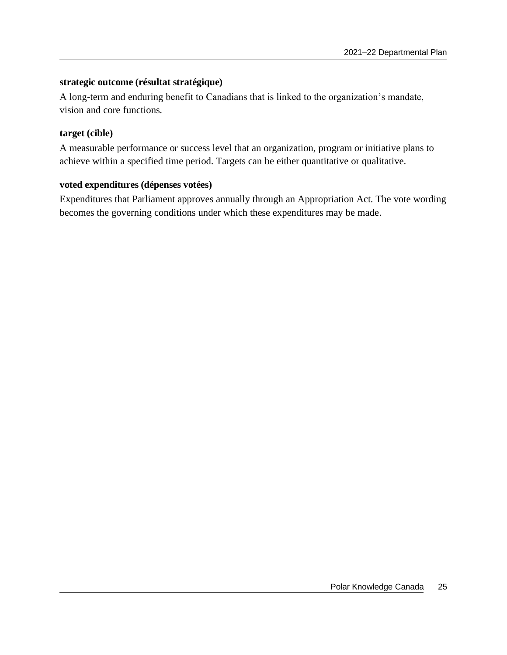### **strategic outcome (résultat stratégique)**

A long-term and enduring benefit to Canadians that is linked to the organization's mandate, vision and core functions.

### **target (cible)**

A measurable performance or success level that an organization, program or initiative plans to achieve within a specified time period. Targets can be either quantitative or qualitative.

### **voted expenditures (dépenses votées)**

Expenditures that Parliament approves annually through an Appropriation Act. The vote wording becomes the governing conditions under which these expenditures may be made.